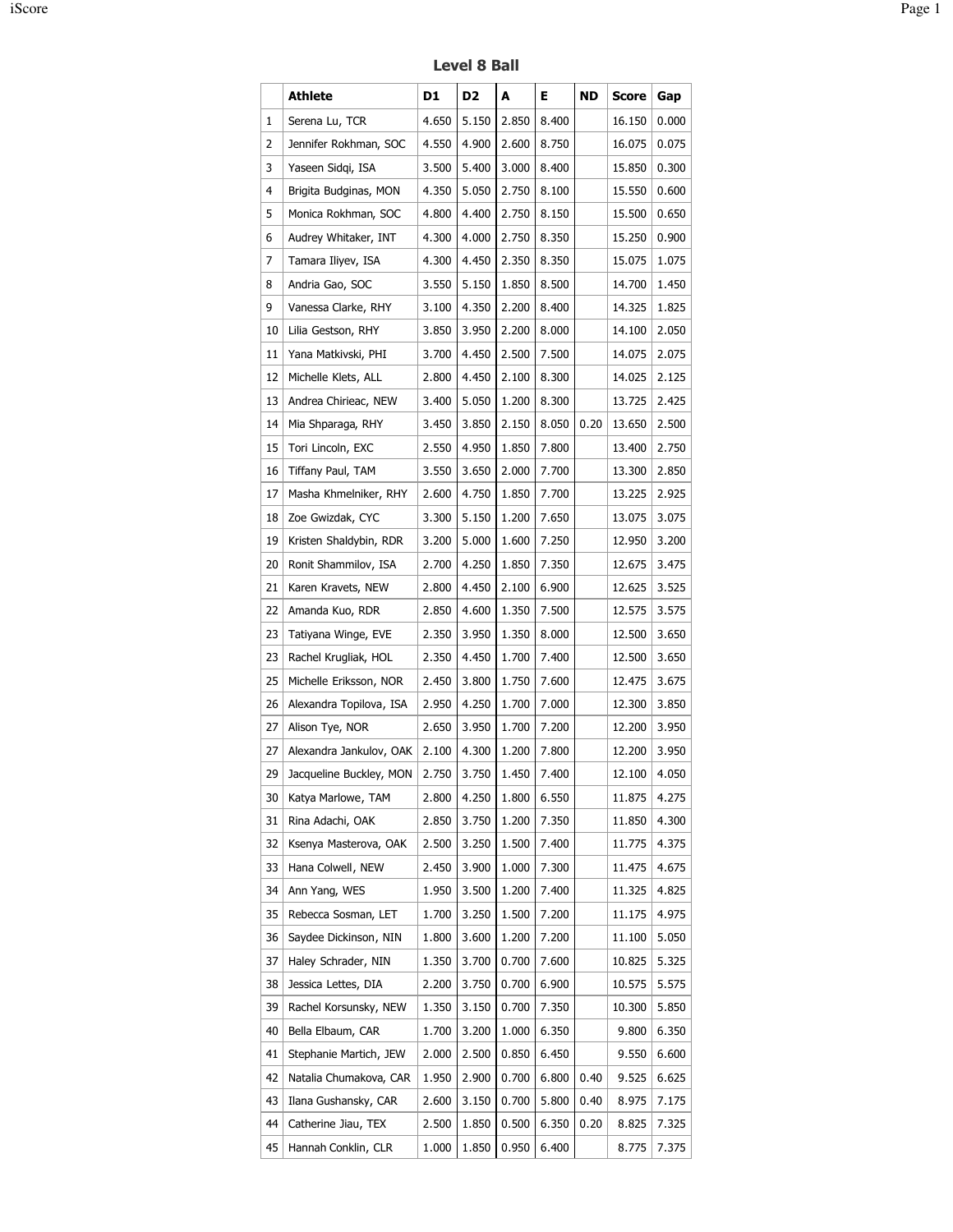## Level 8 Ball

|    | Athlete                 | D1    | D <sub>2</sub> | A     | Е     | ND   | Score  | Gap   |
|----|-------------------------|-------|----------------|-------|-------|------|--------|-------|
| 1  | Serena Lu, TCR          | 4.650 | 5.150          | 2.850 | 8.400 |      | 16.150 | 0.000 |
| 2  | Jennifer Rokhman, SOC   | 4.550 | 4.900          | 2.600 | 8.750 |      | 16.075 | 0.075 |
| 3  | Yaseen Sidgi, ISA       | 3.500 | 5.400          | 3.000 | 8.400 |      | 15.850 | 0.300 |
| 4  | Brigita Budginas, MON   | 4.350 | 5.050          | 2.750 | 8.100 |      | 15.550 | 0.600 |
| 5  | Monica Rokhman, SOC     | 4.800 | 4.400          | 2.750 | 8.150 |      | 15.500 | 0.650 |
| 6  | Audrey Whitaker, INT    | 4.300 | 4.000          | 2.750 | 8.350 |      | 15.250 | 0.900 |
| 7  | Tamara Iliyev, ISA      | 4.300 | 4.450          | 2.350 | 8.350 |      | 15.075 | 1.075 |
| 8  | Andria Gao, SOC         | 3.550 | 5.150          | 1.850 | 8.500 |      | 14.700 | 1.450 |
| 9  | Vanessa Clarke, RHY     | 3.100 | 4.350          | 2.200 | 8.400 |      | 14.325 | 1.825 |
| 10 | Lilia Gestson, RHY      | 3.850 | 3.950          | 2.200 | 8.000 |      | 14.100 | 2.050 |
| 11 | Yana Matkivski, PHI     | 3.700 | 4.450          | 2.500 | 7.500 |      | 14.075 | 2.075 |
| 12 | Michelle Klets, ALL     | 2.800 | 4.450          | 2.100 | 8.300 |      | 14.025 | 2.125 |
| 13 | Andrea Chirieac, NEW    | 3.400 | 5.050          | 1.200 | 8.300 |      | 13.725 | 2.425 |
| 14 | Mia Shparaga, RHY       | 3.450 | 3.850          | 2.150 | 8.050 | 0.20 | 13.650 | 2.500 |
| 15 | Tori Lincoln, EXC       | 2.550 | 4.950          | 1.850 | 7.800 |      | 13.400 | 2.750 |
| 16 | Tiffany Paul, TAM       | 3.550 | 3.650          | 2.000 | 7.700 |      | 13.300 | 2.850 |
| 17 | Masha Khmelniker, RHY   | 2.600 | 4.750          | 1.850 | 7.700 |      | 13.225 | 2.925 |
| 18 | Zoe Gwizdak, CYC        | 3.300 | 5.150          | 1.200 | 7.650 |      | 13.075 | 3.075 |
| 19 | Kristen Shaldybin, RDR  | 3.200 | 5.000          | 1.600 | 7.250 |      | 12.950 | 3.200 |
| 20 | Ronit Shammilov, ISA    | 2.700 | 4.250          | 1.850 | 7.350 |      | 12.675 | 3.475 |
| 21 | Karen Kravets, NEW      | 2.800 | 4.450          | 2.100 | 6.900 |      | 12.625 | 3.525 |
| 22 | Amanda Kuo, RDR         | 2.850 | 4.600          | 1.350 | 7.500 |      | 12.575 | 3.575 |
| 23 | Tatiyana Winge, EVE     | 2.350 | 3.950          | 1.350 | 8.000 |      | 12.500 | 3.650 |
| 23 | Rachel Krugliak, HOL    | 2.350 | 4.450          | 1.700 | 7.400 |      | 12.500 | 3.650 |
| 25 | Michelle Eriksson, NOR  | 2.450 | 3.800          | 1.750 | 7.600 |      | 12.475 | 3.675 |
| 26 | Alexandra Topilova, ISA | 2.950 | 4.250          | 1.700 | 7.000 |      | 12.300 | 3.850 |
| 27 | Alison Tye, NOR         | 2.650 | 3.950          | 1.700 | 7.200 |      | 12.200 | 3.950 |
| 27 | Alexandra Jankulov, OAK | 2.100 | 4.300          | 1.200 | 7.800 |      | 12.200 | 3.950 |
| 29 | Jacqueline Buckley, MON | 2.750 | 3.750          | 1.450 | 7.400 |      | 12.100 | 4.050 |
| 30 | Katya Marlowe, TAM      | 2.800 | 4.250          | 1.800 | 6.550 |      | 11.875 | 4.275 |
| 31 | Rina Adachi, OAK        | 2.850 | 3.750          | 1.200 | 7.350 |      | 11.850 | 4.300 |
| 32 | Ksenya Masterova, OAK   | 2.500 | 3.250          | 1.500 | 7.400 |      | 11.775 | 4.375 |
| 33 | Hana Colwell, NEW       | 2.450 | 3.900          | 1.000 | 7.300 |      | 11.475 | 4.675 |
| 34 | Ann Yang, WES           | 1.950 | 3.500          | 1.200 | 7.400 |      | 11.325 | 4.825 |
| 35 | Rebecca Sosman, LET     | 1.700 | 3.250          | 1.500 | 7.200 |      | 11.175 | 4.975 |
| 36 | Saydee Dickinson, NIN   | 1.800 | 3.600          | 1.200 | 7.200 |      | 11.100 | 5.050 |
| 37 | Haley Schrader, NIN     | 1.350 | 3.700          | 0.700 | 7.600 |      | 10.825 | 5.325 |
| 38 | Jessica Lettes, DIA     | 2.200 | 3.750          | 0.700 | 6.900 |      | 10.575 | 5.575 |
| 39 | Rachel Korsunsky, NEW   | 1.350 | 3.150          | 0.700 | 7.350 |      | 10.300 | 5.850 |
| 40 | Bella Elbaum, CAR       | 1.700 | 3.200          | 1.000 | 6.350 |      | 9.800  | 6.350 |
| 41 | Stephanie Martich, JEW  | 2.000 | 2.500          | 0.850 | 6.450 |      | 9.550  | 6.600 |
| 42 | Natalia Chumakova, CAR  | 1.950 | 2.900          | 0.700 | 6.800 | 0.40 | 9.525  | 6.625 |
| 43 | Ilana Gushansky, CAR    | 2.600 | 3.150          | 0.700 | 5.800 | 0.40 | 8.975  | 7.175 |
| 44 | Catherine Jiau, TEX     | 2.500 | 1.850          | 0.500 | 6.350 | 0.20 | 8.825  | 7.325 |
| 45 |                         |       | 1.850          | 0.950 | 6.400 |      |        |       |
|    | Hannah Conklin, CLR     | 1.000 |                |       |       |      | 8.775  | 7.375 |